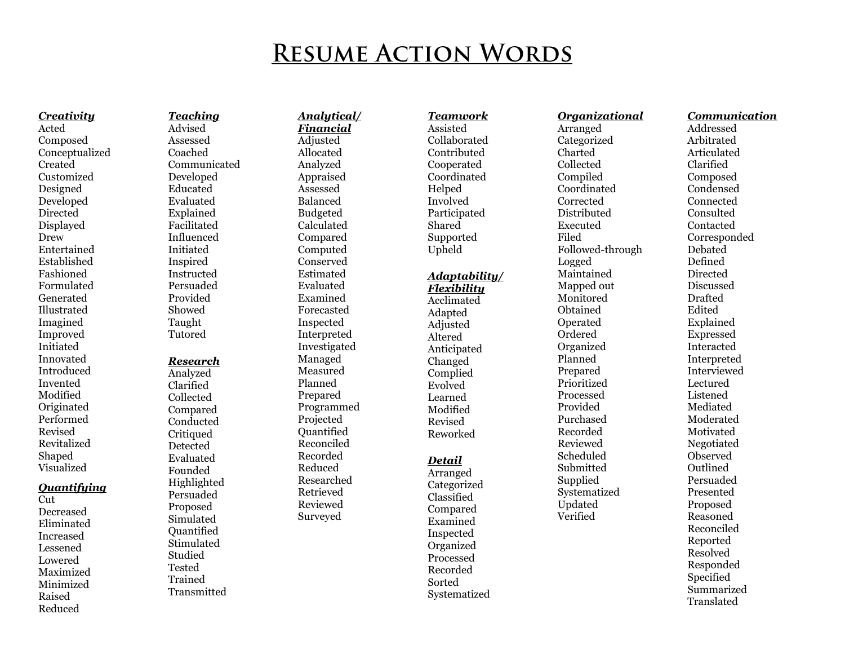# **RESUME ACTION WORDS**

*Creativity* Acted Compose d Conceptualize d Create d Customize d Designed Developed Directed Displayed Drew Entertained Established Fashioned Formulate d Generate d Illustrate d Imagine d Improve d Initiate d Innovate d Introduce d Invented Modified Originate d Performed Revise d Revitalize d Shape d Visualize d

## *Quantifying*

Cut. Decrease d Eliminate d Increase d Lessened Lowered Maximize d Minimize d Raise d Reduce d

*Teaching*  Advise d Assessed Coached Communicate d Developed Educate d Evaluate d Explained Facilitate d Influence d Initiate d Inspire d Instructed Persuade d Provide d Showed Taught Tutored *Research*  Analyze d Clarified Collected Compare d Conducted Critique d Detected

Evaluate d Founded Highlighted Persuade d Propose d Simulate d Quantified Stimulate d **Studied** Tested Trained Transmitted

## *Analytical/ Financial*  Adjusted Allocate d Analyze d Appraise d Assessed Balance d Budgeted Calculate d Compare d Compute d Conserve d Estimate d Evaluate d Examine d Forecasted Inspected **Interpreted** Investigate d Manage d Measure d Planned Prepare d Programmed Projected **Ouantified** Reconcile d Recorded Reduce d Researched Retrieve d Reviewed Surveyed

*Teamwork*  Assisted Collaborate d Contribute d Cooperate d Coordinate d Helped Involve d Participate d Share d Supported Uph eld

#### *Adaptability/ Flexibility*

Acclimate d Adapted Adjusted Altered Anticipate d Change d Complied Evolve d Learned Modified Revise d Reworked

# *Detail*

Arrange d Categorize d Classified Compare d Examine d Inspected Organize d Processed Recorded Sorted Systematize d

Arrange d Categorize d Charted Collected Compile d Coordinate d Corrected Distribute d Execute d File d Followed -through Logged Maintained Mapped out **Monitored** Obtained Operate d Ordered Organize d Planned Prepare d Prioritize d Processed Provide d Purchase d Recorded Reviewed Schedule d Submitted Supplied Systematize d Update d Verified

*Organizational* 

## *Communication* Addressed

Arbitrate d Articulate d Clarified Compose d Condense d Connected Consulted Contacted Corresponded Debate d Define d Directed Discussed Drafted Edited Explained Expressed Interacted Interpreted Interviewed Lecture d Listened Mediate d Moderate d Motivate d Negotiate d Observe d Outline d Persuade d Presented Propose d Reasoned Reconcile d Reported Resolve d Responded Specified Summarize d Translate d